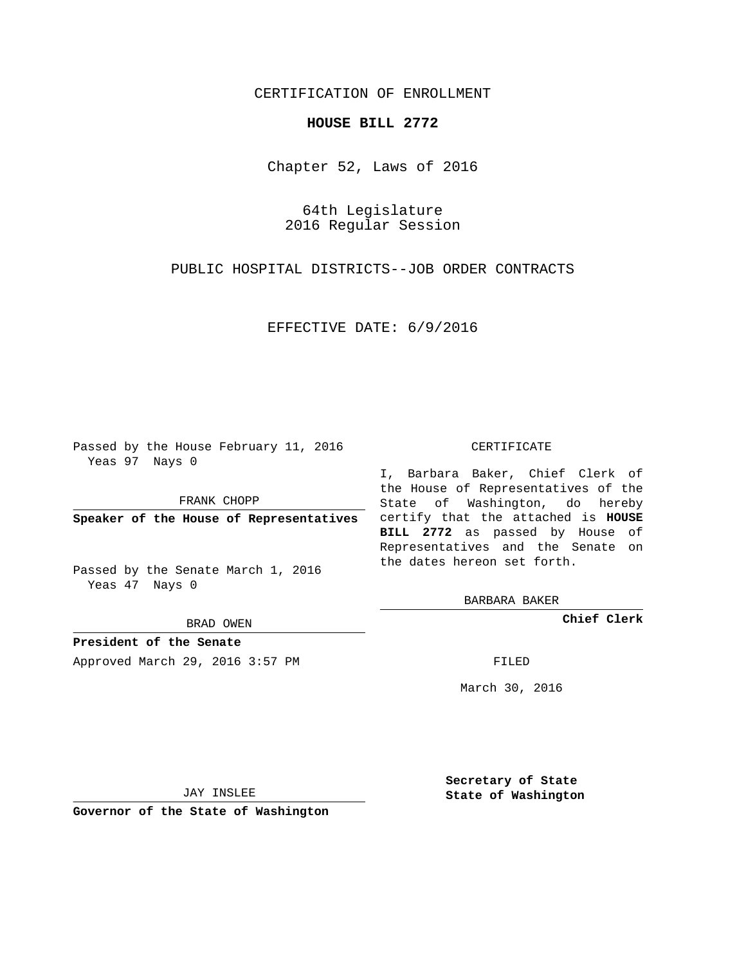## CERTIFICATION OF ENROLLMENT

## **HOUSE BILL 2772**

Chapter 52, Laws of 2016

64th Legislature 2016 Regular Session

PUBLIC HOSPITAL DISTRICTS--JOB ORDER CONTRACTS

EFFECTIVE DATE: 6/9/2016

Passed by the House February 11, 2016 Yeas 97 Nays 0

FRANK CHOPP

Passed by the Senate March 1, 2016 Yeas 47 Nays 0

BRAD OWEN

**President of the Senate**

Approved March 29, 2016 3:57 PM FILED

## CERTIFICATE

**Speaker of the House of Representatives** certify that the attached is **HOUSE** I, Barbara Baker, Chief Clerk of the House of Representatives of the State of Washington, do hereby **BILL 2772** as passed by House of Representatives and the Senate on the dates hereon set forth.

BARBARA BAKER

**Chief Clerk**

March 30, 2016

JAY INSLEE

**Governor of the State of Washington**

**Secretary of State State of Washington**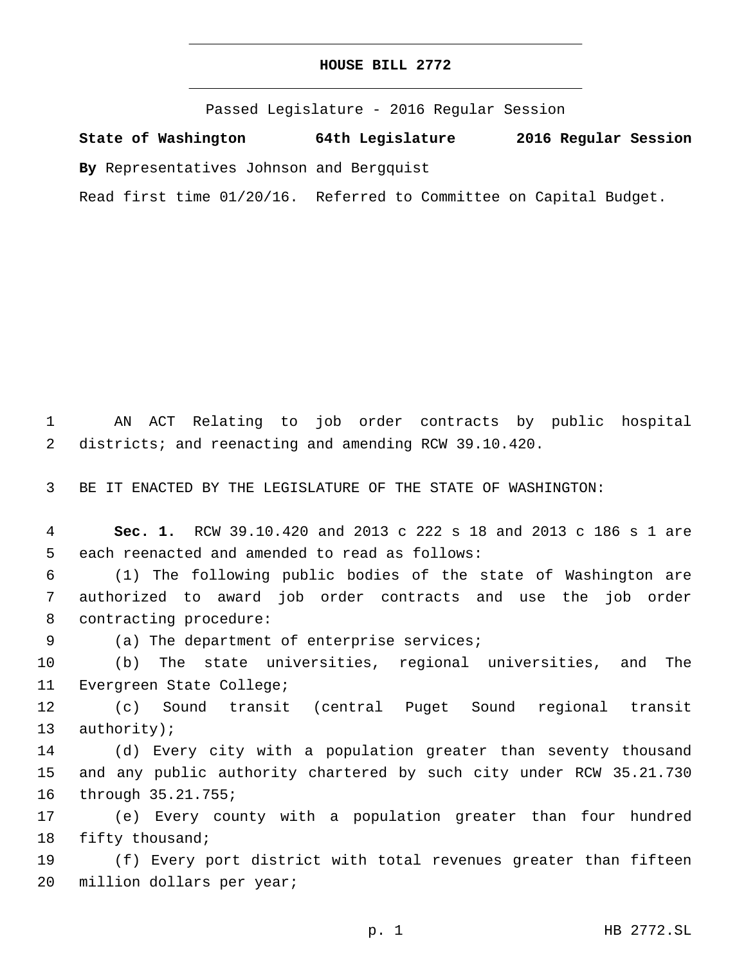Passed Legislature - 2016 Regular Session

**State of Washington 64th Legislature 2016 Regular Session**

**By** Representatives Johnson and Bergquist

Read first time 01/20/16. Referred to Committee on Capital Budget.

1 AN ACT Relating to job order contracts by public hospital 2 districts; and reenacting and amending RCW 39.10.420.

3 BE IT ENACTED BY THE LEGISLATURE OF THE STATE OF WASHINGTON:

4 **Sec. 1.** RCW 39.10.420 and 2013 c 222 s 18 and 2013 c 186 s 1 are 5 each reenacted and amended to read as follows:

6 (1) The following public bodies of the state of Washington are 7 authorized to award job order contracts and use the job order 8 contracting procedure:

9 (a) The department of enterprise services;

10 (b) The state universities, regional universities, and The 11 Evergreen State College;

12 (c) Sound transit (central Puget Sound regional transit 13 authority);

14 (d) Every city with a population greater than seventy thousand 15 and any public authority chartered by such city under RCW 35.21.730 16 through 35.21.755;

17 (e) Every county with a population greater than four hundred 18 fifty thousand;

19 (f) Every port district with total revenues greater than fifteen 20 million dollars per year;